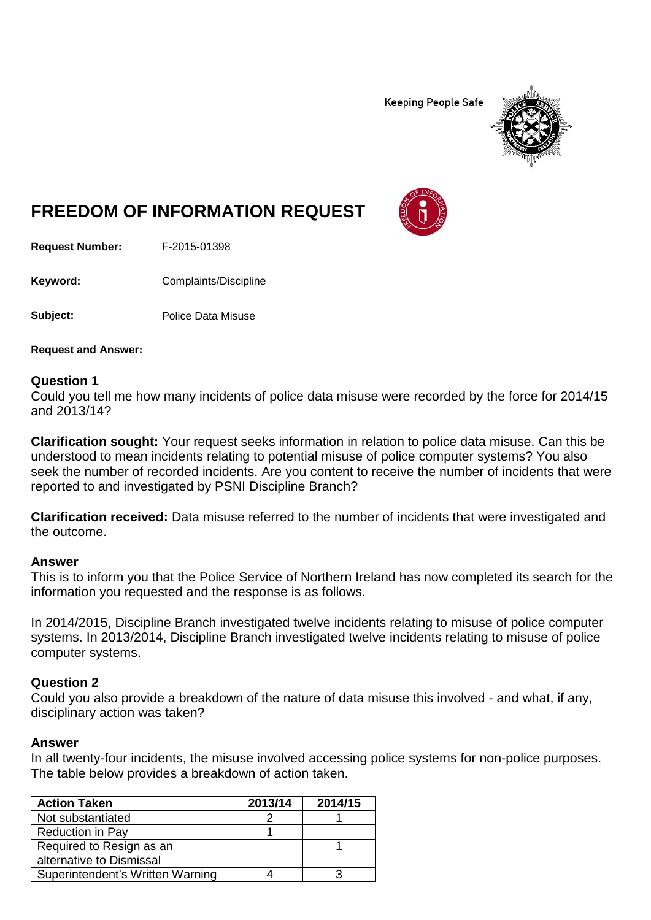**Keeping People Safe** 



# **FREEDOM OF INFORMATION REQUEST**

**Request Number:** F-2015-01398

**Keyword:** Complaints/Discipline

**Subject:** Police Data Misuse

**Request and Answer:**

### **Question 1**

Could you tell me how many incidents of police data misuse were recorded by the force for 2014/15 and 2013/14?

**Clarification sought:** Your request seeks information in relation to police data misuse. Can this be understood to mean incidents relating to potential misuse of police computer systems? You also seek the number of recorded incidents. Are you content to receive the number of incidents that were reported to and investigated by PSNI Discipline Branch?

**Clarification received:** Data misuse referred to the number of incidents that were investigated and the outcome.

### **Answer**

This is to inform you that the Police Service of Northern Ireland has now completed its search for the information you requested and the response is as follows.

In 2014/2015, Discipline Branch investigated twelve incidents relating to misuse of police computer systems. In 2013/2014, Discipline Branch investigated twelve incidents relating to misuse of police computer systems.

## **Question 2**

Could you also provide a breakdown of the nature of data misuse this involved - and what, if any, disciplinary action was taken?

### **Answer**

In all twenty-four incidents, the misuse involved accessing police systems for non-police purposes. The table below provides a breakdown of action taken.

| <b>Action Taken</b>              | 2013/14 | 2014/15 |
|----------------------------------|---------|---------|
| Not substantiated                |         |         |
| <b>Reduction in Pay</b>          |         |         |
| Required to Resign as an         |         |         |
| alternative to Dismissal         |         |         |
| Superintendent's Written Warning |         |         |